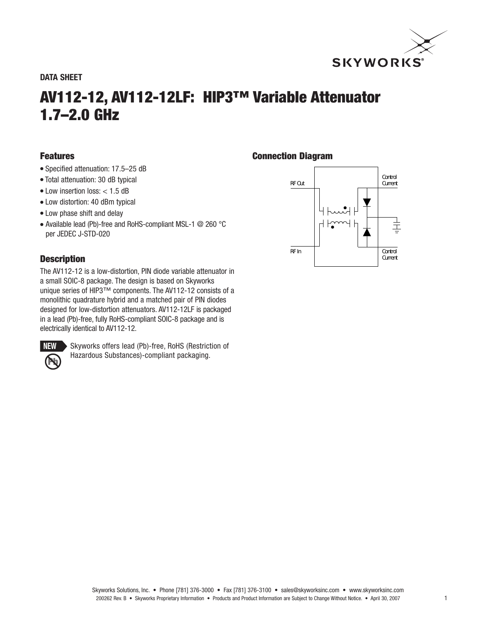

#### **DATA SHEET**

# **AV112-12, AV112-12LF: HIP3™ Variable Attenuator 1.7–2.0 GHz**

### **Features**

- Specified attenuation: 17.5–25 dB
- Total attenuation: 30 dB typical
- $\bullet$  Low insertion loss:  $<$  1.5 dB
- Low distortion: 40 dBm typical
- Low phase shift and delay
- Available lead (Pb)-free and RoHS-compliant MSL-1 @ 260 °C per JEDEC J-STD-020

# **Description**

The AV112-12 is a low-distortion, PIN diode variable attenuator in a small SOIC-8 package. The design is based on Skyworks unique series of HIP3™ components. The AV112-12 consists of a monolithic quadrature hybrid and a matched pair of PIN diodes designed for low-distortion attenuators. AV112-12LF is packaged in a lead (Pb)-free, fully RoHS-compliant SOIC-8 package and is electrically identical to AV112-12.



Skyworks offers lead (Pb)-free, RoHS (Restriction of Hazardous Substances)-compliant packaging.

## **Connection Diagram**

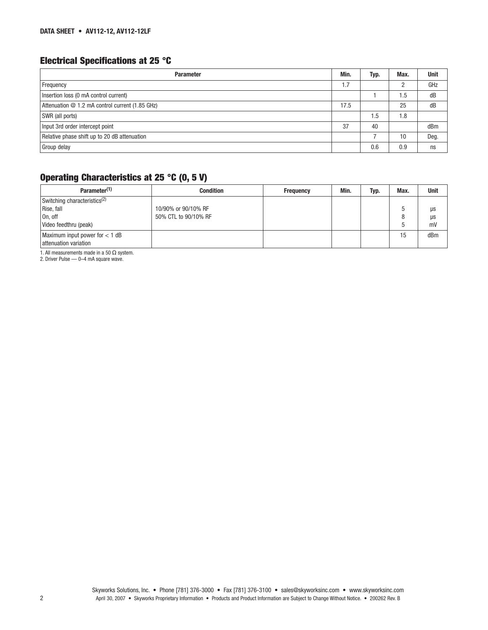# **Electrical Specifications at 25 °C**

| <b>Parameter</b>                                | Min. | Typ. | Max. | <b>Unit</b> |
|-------------------------------------------------|------|------|------|-------------|
| Frequency                                       | 1.7  |      |      | GHz         |
| Insertion loss (0 mA control current)           |      |      | 1.5  | dB          |
| Attenuation @ 1.2 mA control current (1.85 GHz) | 17.5 |      | 25   | dB          |
| SWR (all ports)                                 |      | 1.5  | 1.8  |             |
| Input 3rd order intercept point                 | 37   | 40   |      | dBm         |
| Relative phase shift up to 20 dB attenuation    |      |      | 10   | Deg.        |
| Group delay                                     |      | 0.6  | 0.9  | ns          |

# **Operating Characteristics at 25 °C (0, 5 V)**

| Parameter <sup>(1)</sup>                 | <b>Condition</b>     | <b>Frequency</b> | Min. | Typ. | Max. | <b>Unit</b> |
|------------------------------------------|----------------------|------------------|------|------|------|-------------|
| Switching characteristics <sup>(2)</sup> |                      |                  |      |      |      |             |
| Rise, fall                               | 10/90% or 90/10% RF  |                  |      |      |      | μs          |
| On, off                                  | 50% CTL to 90/10% RF |                  |      |      |      | μs          |
| Video feedthru (peak)                    |                      |                  |      |      |      | mV          |
| Maximum input power for $<$ 1 dB         |                      |                  |      |      | 15   | dBm         |
| attenuation variation                    |                      |                  |      |      |      |             |

1. All measurements made in a 50 Ω system. 2. Driver Pulse — 0–4 mA square wave.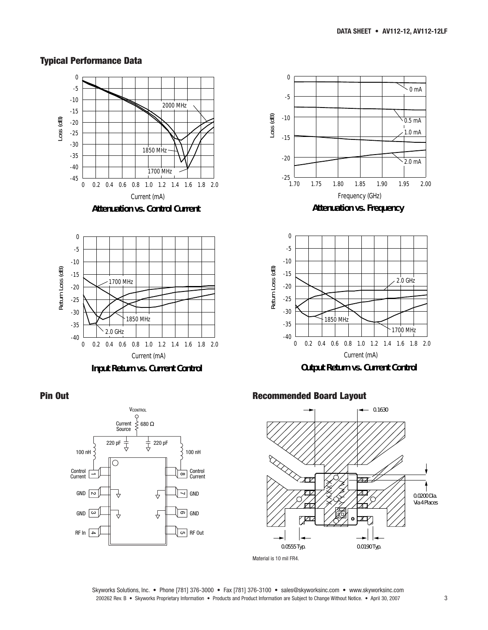# **Typical Performance Data**









-40 -35 -30



Current (mA) **Input Return vs. Current Control**

0 0.2 0.4 0.6 0.8 1.0 1.2 1.4 1.6 1.8 2.0

1850 MHz

2.0 GHz

#### **Recommended Board Layout**



Skyworks Solutions, Inc. • Phone [781] 376-3000 • Fax [781] 376-3100 • sales@skyworksinc.com • www.skyworksinc.com 200262 Rev. B • Skyworks Proprietary Information • Products and Product Information are Subject to Change Without Notice. • April 30, 2007 3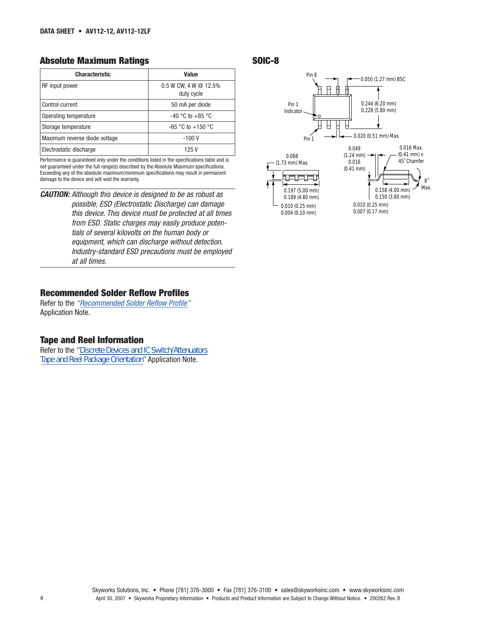#### **Absolute Maximum Ratings SOIC-8**

| <b>Characteristic</b>         | Value                                 |
|-------------------------------|---------------------------------------|
| RF input power                | $0.5$ W CW, 4 W @ 12.5%<br>duty cycle |
| Control current               | 50 mA per diode                       |
| Operating temperature         | $-40$ °C to $+85$ °C                  |
| Storage temperature           | $-65$ °C to $+150$ °C                 |
| Maximum reverse diode voltage | $-100V$                               |
| Electrostatic discharge       | 125 V                                 |

Performance is guaranteed only under the conditions listed in the specifications table and is not guaranteed under the full range(s) described by the Absolute Maximum specifications. Exceeding any of the absolute maximum/minimum specifications may result in permanent damage to the device and will void the warranty.

*CAUTION:* Although this device is designed to be as robust as possible, ESD (Electrostatic Discharge) can damage this device. This device must be protected at all times from ESD. Static charges may easily produce potentials of several kilovolts on the human body or equipment, which can discharge without detection. Industry-standard ESD precautions must be employed at all times.

#### **[Recommended Solder Reflow Profiles](http://www.skyworksinc.com/products_display_item.asp?did=2071 )**

Refer to the "Recommended Solder Reflow Profile" Application Note.

#### **Tape and Reel Information**

Refer to the *["Discrete Devices and IC Switch/Attenuators](http://www.skyworksinc.com/products_display_item.asp?did=2122 )  Tape and Reel Package Orientation"* Application Note.